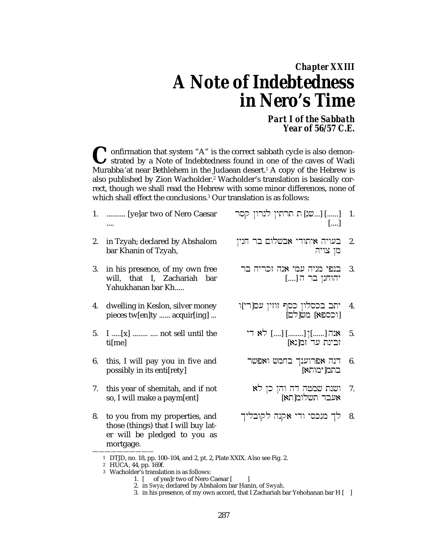# *Chapter XXIII A Note of Indebtedness in Nero's Time*

*Part I of the Sabbath Year of 56/57 C.E.*

<sup>1</sup> onfirmation that system "A" is the correct sabbath cycle is also demonstrated by a Note of Indebtedness found in one of the caves of Wadi **C** onfirmation that system "A" is the correct sabbath cycle is also demonstrated by a Note of Indebtedness found in one of the caves of Wadi Murabba'at near Bethlehem in the Judaean desert.<sup>1</sup> A copy of the Hebrew is also published by Zion Wacholder.<sup>2</sup> Wacholder's translation is basically correct, though we shall read the Hebrew with some minor differences, none of which shall effect the conclusions.3 Our translation is as follows:

- 1. .......... [ye]ar two of Nero Caesar ....
- 2. in Tzyah; declared by Abshalom bar Khanin of Tzyah,
- 3. in his presence, of my own free will, that I, Zachariah bar Yahukhanan bar Kh.....
- 4. dwelling in Keslon, silver money pieces tw[en]ty ...... acquir[ing] ...
- 5. I .....[x] ........ .... not sell until the ti[me]
- 6. this, I will pay you in five and possibly in its enti[rety]
- 7. this year of shemitah, and if not so, I will make a paym[ent]
- 8. to you from my properties, and those (things) that I will buy later will be pledged to you as mortgage.
- .<br>1. [......] [...שנ] ת תרתין לנרון קסר [....]
- 2. ˆynj rb µwlçba ydwtya hyw[b –<br>מן צויה
- 3. בנפי מניה עמי אנה זכריה בר יהוחנן בר ה [....]
- .<br>4. יתב בכסלון כסף זוזין עס[רי]ו וב בכסקון כסן<br>[וכספא] מש[לם]
	- 5.  $\gamma$ אנה [......] [........]  $[$ .......] לא די ובינת עד ומ[נא]
	- 6. .<br>דנה אפרוענך בחמש ואפשר בתמן ימותאן
	- 7 ושנת שמטה דה והן כן לא<br>אעבד תשלומ[תא]
- .<br>8. לך מנכסי ודי אקנה לקובליך

<sup>——————————</sup> 1 DTJD, no. 18, pp. 100–104, and 2, pt. 2, Plate XXIX. Also see Fig. 2.

<sup>2</sup> HUCA, 44, pp. 169f.

<sup>3</sup> Wacholder's translation is as follows:

<sup>1. [</sup> of yea]r two of Nero Caesar [ ]

<sup>2.</sup> in *Swya*; declared by Abshalom bar H|anin, of *Swyah*.

<sup>3.</sup> in his presence, of my own accord, that I Zachariah bar Yehohanan bar H $\vert \vert$  ]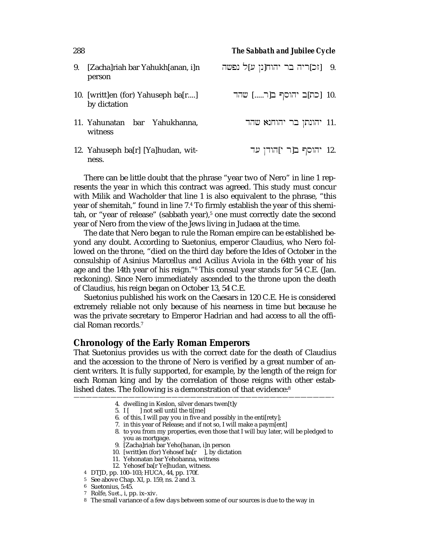| 9. | [Zacha]riah bar Yahukh[anan, i]n<br>person         | .9 [זכ]ריה בר יהוח[נן ע]ל נפשה |  |
|----|----------------------------------------------------|--------------------------------|--|
|    | 10. [writt]en (for) Yahuseph ba[r]<br>by dictation | .10 [כת]ב יהוסף ב[ר] שהד       |  |
|    | 11. Yahunatan bar Yahukhanna,<br>witness           | יהונתן בר יהוחנא שהד $11.$     |  |
|    | 12. Yahuseph ba[r] [Ya]hudan, wit-<br>ness.        | 12. יהוסף ב[ר י]הודן עד        |  |

There can be little doubt that the phrase "year two of Nero" in line 1 represents the year in which this contract was agreed. This study must concur with Milik and Wacholder that line 1 is also equivalent to the phrase, "this year of shemitah," found in line 7.4 To firmly establish the year of this shemitah, or "year of release" (sabbath year),<sup>5</sup> one must correctly date the second year of Nero from the view of the Jews living in Judaea at the time.

The date that Nero began to rule the Roman empire can be established beyond any doubt. According to Suetonius, emperor Claudius, who Nero followed on the throne, "died on the third day before the Ides of October in the consulship of Asinius Marcellus and Acilius Aviola in the 64th year of his age and the 14th year of his reign."6 This consul year stands for 54 C.E. (Jan. reckoning). Since Nero immediately ascended to the throne upon the death of Claudius, his reign began on October 13, 54 C.E.

Suetonius published his work on the Caesars in 120 C.E. He is considered extremely reliable not only because of his nearness in time but because he was the private secretary to Emperor Hadrian and had access to all the official Roman records.7

#### **Chronology of the Early Roman Emperors**

That Suetonius provides us with the correct date for the death of Claudius and the accession to the throne of Nero is verified by a great number of ancient writers. It is fully supported, for example, by the length of the reign for each Roman king and by the correlation of those reigns with other established dates. The following is a demonstration of that evidence:<sup>8</sup>

——————————————————————————————————————————–

- 4. dwelling in Keslon, silver denars twen[t]y
- $5. I [$  ] not sell until the tilme]
- 6. of this, I will pay you in five and possibly in the enti[rety];
- 7. in this year of Release; and if not so, I will make a paym[ent]
- 8. to you from my properties, even those that I will buy later, will be pledged to you as mortgage.
- 9. [Zacha]riah bar Yeho[hanan, i]n person
- 10. [writt]en (for) Yehosef ba[r ], by dictation
- 11. Yehonatan bar Yehohanna, witness
- 12. Yehosef ba[r Ye]hudan, witness.
- 4 DTJD, pp. 100–103; HUCA, 44, pp. 170f.
- 5 See above Chap. XI, p. 159, ns. 2 and 3.
- 6 Suetonius, 5:45.
- 7 Rolfe, *Suet*., i, pp. ix–xiv.
- 8 The small variance of a few days between some of our sources is due to the way in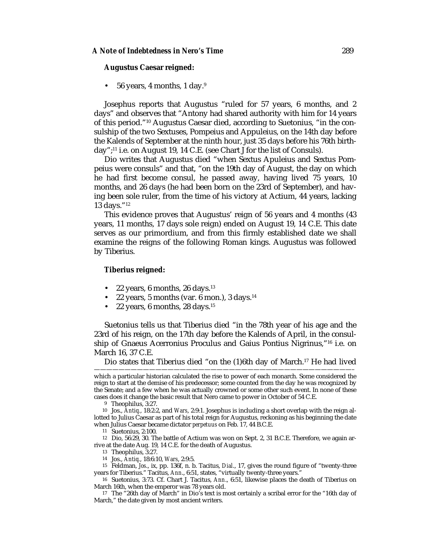#### **Augustus Caesar reigned:**

• 56 years, 4 months, 1 day.9

Josephus reports that Augustus "ruled for 57 years, 6 months, and 2 days" and observes that "Antony had shared authority with him for 14 years of this period."10 Augustus Caesar died, according to Suetonius, "in the consulship of the two Sextuses, Pompeius and Appuleius, on the 14th day before the Kalends of September at the ninth hour, just 35 days before his 76th birthday";11 i.e. on August 19, 14 C.E. (see Chart J for the list of Consuls).

Dio writes that Augustus died "when Sextus Apuleius and Sextus Pompeius were consuls" and that, "on the 19th day of August, the day on which he had first become consul, he passed away, having lived 75 years, 10 months, and 26 days (he had been born on the 23rd of September), and having been sole ruler, from the time of his victory at Actium, 44 years, lacking 13 days."12

This evidence proves that Augustus' reign of 56 years and 4 months (43 years, 11 months, 17 days sole reign) ended on August 19, 14 C.E. This date serves as our primordium, and from this firmly established date we shall examine the reigns of the following Roman kings. Augustus was followed by Tiberius.

#### **Tiberius reigned:**

- 22 years, 6 months, 26 days. $13$
- 22 years, 5 months (var. 6 mon.), 3 days. $14$
- 22 years, 6 months, 28 days.15

Suetonius tells us that Tiberius died "in the 78th year of his age and the 23rd of his reign, on the 17th day before the Kalends of April, in the consulship of Gnaeus Acerronius Proculus and Gaius Pontius Nigrinus,"16 i.e. on March 16, 37 C.E.

Dio states that Tiberius died "on the (1)6th day of March.17 He had lived

——————————————————————————————————————————–

which a particular historian calculated the rise to power of each monarch. Some considered the reign to start at the demise of his predecessor; some counted from the day he was recognized by the Senate; and a few when he was actually crowned or some other such event. In none of these cases does it change the basic result that Nero came to power in October of 54 C.E.

<sup>9</sup> Theophilus, 3:27.

<sup>10</sup> Jos., *Antiq.*, 18:2:2, and *Wars*, 2:9:1. Josephus is including a short overlap with the reign allotted to Julius Caesar as part of his total reign for Augustus, reckoning as his beginning the date when Julius Caesar became dictator *perpetuus* on Feb. 17, 44 B.C.E.

<sup>11</sup> Suetonius, 2:100.

<sup>12</sup> Dio, 56:29, 30. The battle of Actium was won on Sept. 2, 31 B.C.E. Therefore, we again arrive at the date Aug. 19, 14 C.E. for the death of Augustus.

<sup>13</sup> Theophilus, 3:27.

<sup>14</sup> Jos., *Antiq.*, 18:6:10, *Wars*, 2:9:5.

<sup>15</sup> Feldman, *Jos*., ix, pp. 136f, n. b. Tacitus, *Dial*., 17, gives the round figure of "twenty-three years for Tiberius." Tacitus, *Ann*., 6:51, states, "virtually twenty-three years."

<sup>16</sup> Suetonius, 3:73. Cf. Chart J. Tacitus, *Ann*., 6:51, likewise places the death of Tiberius on March 16th, when the emperor was 78 years old.

<sup>17</sup> The "26th day of March" in Dio's text is most certainly a scribal error for the "16th day of March," the date given by most ancient writers.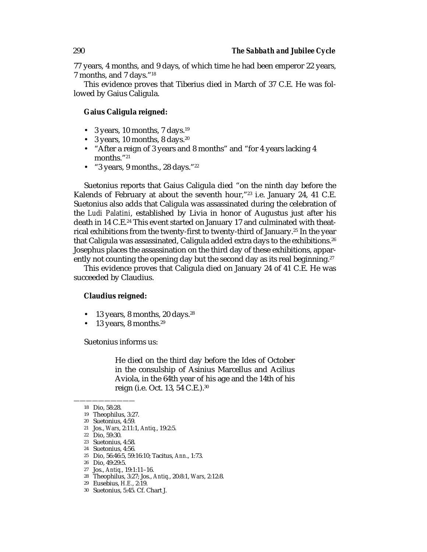77 years, 4 months, and 9 days, of which time he had been emperor 22 years, 7 months, and 7 days."18

This evidence proves that Tiberius died in March of 37 C.E. He was followed by Gaius Caligula.

#### **Gaius Caligula reigned:**

- 3 years, 10 months, 7 days.<sup>19</sup>
- 3 years, 10 months, 8 days. $20$
- "After a reign of 3 years and 8 months" and "for 4 years lacking 4 months."21
- "3 years, 9 months.,  $28 \text{ days}$ ." $22$

Suetonius reports that Gaius Caligula died "on the ninth day before the Kalends of February at about the seventh hour,"23 i.e. January 24, 41 C.E. Suetonius also adds that Caligula was assassinated during the celebration of the *Ludi Palatini*, established by Livia in honor of Augustus just after his death in 14 C.E.<sup>24</sup> This event started on January 17 and culminated with theatrical exhibitions from the twenty-first to twenty-third of January.25 In the year that Caligula was assassinated, Caligula added extra days to the exhibitions.<sup>26</sup> Josephus places the assassination on the third day of these exhibitions, apparently not counting the opening day but the second day as its real beginning.<sup>27</sup>

This evidence proves that Caligula died on January 24 of 41 C.E. He was succeeded by Claudius.

#### **Claudius reigned:**

- 13 years, 8 months, 20 days.<sup>28</sup>
- 13 years, 8 months. $29$

Suetonius informs us:

He died on the third day before the Ides of October in the consulship of Asinius Marcellus and Acilius Aviola, in the 64th year of his age and the 14th of his reign (i.e. Oct. 13, 54 C.E.).30

- 26 Dio, 49:29:5.
- 27 Jos., *Antiq.*, 19:1:11–16.
- 28 Theophilus, 3:27; Jos., *Antiq.*, 20:8:1, *Wars*, 2:12:8.
- 29 Eusebius, *H.E.*, 2:19.
- 30 Suetonius, 5:45. Cf. Chart J.

<sup>——————————</sup> 18 Dio, 58:28.

<sup>19</sup> Theophilus, 3:27.

<sup>20</sup> Suetonius, 4:59.

<sup>21</sup> Jos., *Wars*, 2:11:1, *Antiq.*, 19:2:5.

<sup>22</sup> Dio, 59:30.

<sup>23</sup> Suetonius, 4:58.

<sup>24</sup> Suetonius, 4:56.

<sup>25</sup> Dio, 56:46:5, 59:16:10; Tacitus, *Ann*., 1:73.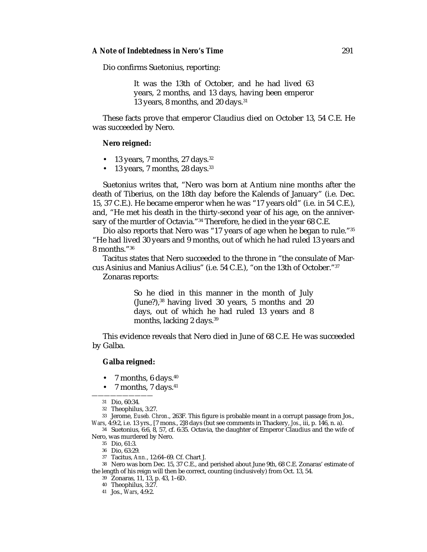Dio confirms Suetonius, reporting:

It was the 13th of October, and he had lived 63 years, 2 months, and 13 days, having been emperor 13 years, 8 months, and 20 days.31

These facts prove that emperor Claudius died on October 13, 54 C.E. He was succeeded by Nero.

#### **Nero reigned:**

- 13 years, 7 months, 27 days.  $32$
- 13 years, 7 months, 28 days.<sup>33</sup>

Suetonius writes that, "Nero was born at Antium nine months after the death of Tiberius, on the 18th day before the Kalends of January" (i.e. Dec. 15, 37 C.E.). He became emperor when he was "17 years old" (i.e. in 54 C.E.), and, "He met his death in the thirty-second year of his age, on the anniversary of the murder of Octavia."<sup>34</sup> Therefore, he died in the year 68 C.E.

Dio also reports that Nero was "17 years of age when he began to rule."35 "He had lived 30 years and 9 months, out of which he had ruled 13 years and 8 months."36

Tacitus states that Nero succeeded to the throne in "the consulate of Marcus Asinius and Manius Acilius" (i.e. 54 C.E.), "on the 13th of October."37

Zonaras reports:

So he died in this manner in the month of July  $(June?)$ ,<sup>38</sup> having lived 30 years, 5 months and 20 days, out of which he had ruled 13 years and 8 months, lacking 2 days.<sup>39</sup>

This evidence reveals that Nero died in June of 68 C.E. He was succeeded by Galba.

#### **Galba reigned:**

- 7 months,  $6 \text{ days}.40$
- 7 months, 7 days.<sup>41</sup>

33 Jerome, *Euseb. Chron*., 263F. This figure is probable meant in a corrupt passage from Jos., *Wars*, 4:9:2, i.e. 13 yrs., [7 mons., 2]8 days (but see comments in Thackery, *Jos*., iii, p. 146, n. a).

34 Suetonius, 6:6, 8, 57, cf. 6:35. Octavia, the daughter of Emperor Claudius and the wife of Nero, was murdered by Nero.

38 Nero was born Dec. 15, 37 C.E., and perished about June 9th, 68 C.E. Zonaras' estimate of the length of his reign will then be correct, counting (inclusively) from Oct. 13, 54.

39 Zonaras, 11, 13, p. 43, 1–6D.

40 Theophilus, 3:27.

41 Jos., *Wars*, 4:9:2.

<sup>——————————</sup> 31 Dio, 60:34.

<sup>32</sup> Theophilus, 3:27.

<sup>35</sup> Dio, 61:3.

<sup>36</sup> Dio, 63:29.

<sup>37</sup> Tacitus, *Ann.*, 12:64–69. Cf. Chart J.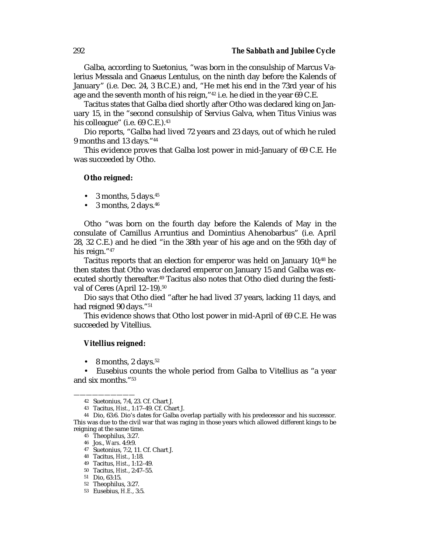Galba, according to Suetonius, "was born in the consulship of Marcus Valerius Messala and Gnaeus Lentulus, on the ninth day before the Kalends of January" (i.e. Dec. 24, 3 B.C.E.) and, "He met his end in the 73rd year of his age and the seventh month of his reign,"<sup>42</sup> i.e. he died in the year 69 C.E.

Tacitus states that Galba died shortly after Otho was declared king on January 15, in the "second consulship of Servius Galva, when Titus Vinius was his colleague" (i.e. 69 C.E.).<sup>43</sup>

Dio reports, "Galba had lived 72 years and 23 days, out of which he ruled 9 months and 13 days."44

This evidence proves that Galba lost power in mid-January of 69 C.E. He was succeeded by Otho.

#### **Otho reigned:**

- 3 months, 5 days. $45$
- 3 months,  $2 \text{ days}.46$

Otho "was born on the fourth day before the Kalends of May in the consulate of Camillus Arruntius and Domintius Ahenobarbus" (i.e. April 28, 32 C.E.) and he died "in the 38th year of his age and on the 95th day of his reign."47

Tacitus reports that an election for emperor was held on January 10;48 he then states that Otho was declared emperor on January 15 and Galba was executed shortly thereafter.<sup>49</sup> Tacitus also notes that Otho died during the festival of Ceres (April 12-19).<sup>50</sup>

Dio says that Otho died "after he had lived 37 years, lacking 11 days, and had reigned 90 days."<sup>51</sup>

This evidence shows that Otho lost power in mid-April of 69 C.E. He was succeeded by Vitellius.

#### **Vitellius reigned:**

• 8 months,  $2 \text{ days}$ .<sup>52</sup>

• Eusebius counts the whole period from Galba to Vitellius as "a year and six months."53

——————————

<sup>42</sup> Suetonius, 7:4, 23. Cf. Chart J.

<sup>43</sup> Tacitus, *Hist.*, 1:17–49. Cf. Chart J.

<sup>44</sup> Dio, 63:6. Dio's dates for Galba overlap partially with his predecessor and his successor. This was due to the civil war that was raging in those years which allowed different kings to be reigning at the same time.

<sup>45</sup> Theophilus, 3:27.

<sup>46</sup> Jos., *Wars*. 4:9:9.

<sup>47</sup> Suetonius, 7:2, 11. Cf. Chart J.

<sup>48</sup> Tacitus, *Hist.*, 1:18.

<sup>49</sup> Tacitus, *Hist*., 1:12–49.

<sup>50</sup> Tacitus, *Hist.*, 2:47–55.

<sup>51</sup> Dio, 63:15.

<sup>52</sup> Theophilus, 3:27.

<sup>53</sup> Eusebius, *H.E.*, 3:5.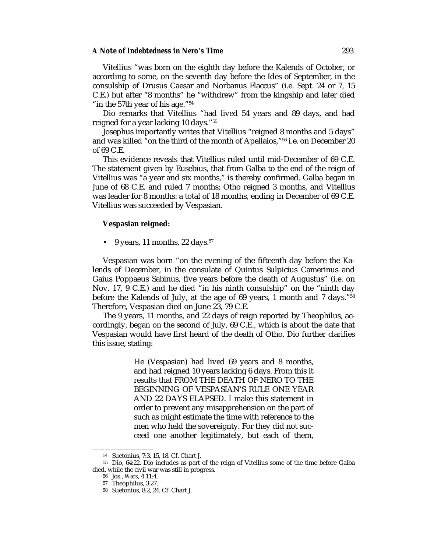#### *A Note of Indebtedness in Nero's Time* 293

Vitellius "was born on the eighth day before the Kalends of October, or according to some, on the seventh day before the Ides of September, in the consulship of Drusus Caesar and Norbanus Flaccus" (i.e. Sept. 24 or 7, 15 C.E.) but after "8 months" he "withdrew" from the kingship and later died "in the 57<sup>th</sup> year of his age."<sup>54</sup>

Dio remarks that Vitellius "had lived 54 years and 89 days, and had reigned for a year lacking 10 days."55

Josephus importantly writes that Vitellius "reigned 8 months and 5 days" and was killed "on the third of the month of Apellaios,"56 i.e. on December 20 of 69 C.E.

This evidence reveals that Vitellius ruled until mid-December of 69 C.E. The statement given by Eusebius, that from Galba to the end of the reign of Vitellius was "a year and six months," is thereby confirmed. Galba began in June of 68 C.E. and ruled 7 months; Otho reigned 3 months, and Vitellius was leader for 8 months: a total of 18 months, ending in December of 69 C.E. Vitellius was succeeded by Vespasian.

#### **Vespasian reigned:**

• 9 years, 11 months, 22 days.<sup>57</sup>

Vespasian was born "on the evening of the fifteenth day before the Kalends of December, in the consulate of Quintus Sulpicius Camerinus and Gaius Poppaeus Sabinus, five years before the death of Augustus" (i.e. on Nov. 17, 9 C.E.) and he died "in his ninth consulship" on the "ninth day before the Kalends of July, at the age of 69 years, 1 month and 7 days."58 Therefore, Vespasian died on June 23, 79 C.E.

The 9 years, 11 months, and 22 days of reign reported by Theophilus, accordingly, began on the second of July, 69 C.E., which is about the date that Vespasian would have first heard of the death of Otho. Dio further clarifies this issue, stating:

> He (Vespasian) had lived 69 years and 8 months, and had reigned 10 years lacking 6 days. From this it results that FROM THE DEATH OF NERO TO THE BEGINNING OF VESPASIAN'S RULE ONE YEAR AND 22 DAYS ELAPSED. I make this statement in order to prevent any misapprehension on the part of such as might estimate the time with reference to the men who held the sovereignty. For they did not succeed one another legitimately, but each of them,

<sup>——————————</sup> 54 Suetonius, 7:3, 15, 18. Cf. Chart J.

<sup>55</sup> Dio, 64:22. Dio includes as part of the reign of Vitellius some of the time before Galba died, while the civil war was still in progress.

<sup>56</sup> Jos., *Wars*, 4:11:4.

<sup>57</sup> Theophilus, 3:27.

<sup>58</sup> Suetonius, 8:2, 24. Cf. Chart J.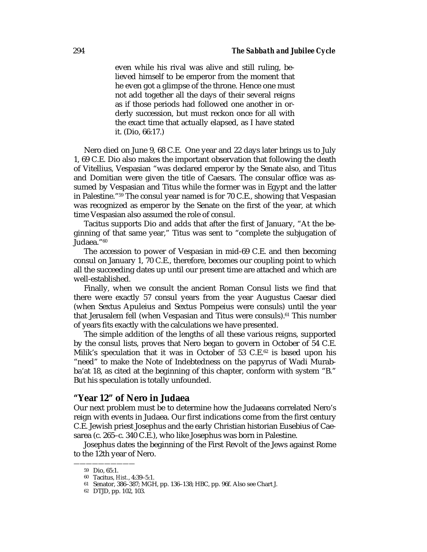even while his rival was alive and still ruling, believed himself to be emperor from the moment that he even got a glimpse of the throne. Hence one must not add together all the days of their several reigns as if those periods had followed one another in orderly succession, but must reckon once for all with the exact time that actually elapsed, as I have stated it. (Dio, 66:17.)

Nero died on June 9, 68 C.E. One year and 22 days later brings us to July 1, 69 C.E. Dio also makes the important observation that following the death of Vitellius, Vespasian "was declared emperor by the Senate also, and Titus and Domitian were given the title of Caesars. The consular office was assumed by Vespasian and Titus while the former was in Egypt and the latter in Palestine."59 The consul year named is for 70 C.E., showing that Vespasian was recognized as emperor by the Senate on the first of the year, at which time Vespasian also assumed the role of consul.

Tacitus supports Dio and adds that after the first of January, "At the beginning of that same year," Titus was sent to "complete the subjugation of Judaea."<sup>60</sup>

The accession to power of Vespasian in mid-69 C.E. and then becoming consul on January 1, 70 C.E., therefore, becomes our coupling point to which all the succeeding dates up until our present time are attached and which are well-established.

Finally, when we consult the ancient Roman Consul lists we find that there were exactly 57 consul years from the year Augustus Caesar died (when Sextus Apuleius and Sextus Pompeius were consuls) until the year that Jerusalem fell (when Vespasian and Titus were consuls).<sup>61</sup> This number of years fits exactly with the calculations we have presented.

The simple addition of the lengths of all these various reigns, supported by the consul lists, proves that Nero began to govern in October of 54 C.E. Milik's speculation that it was in October of 53 C.E.<sup>62</sup> is based upon his "need" to make the Note of Indebtedness on the papyrus of Wadi Murabba'at 18, as cited at the beginning of this chapter, conform with system "B." But his speculation is totally unfounded.

#### **"Year 12" of Nero in Judaea**

Our next problem must be to determine how the Judaeans correlated Nero's reign with events in Judaea. Our first indications come from the first century C.E. Jewish priest Josephus and the early Christian historian Eusebius of Caesarea (c. 265–c. 340 C.E.), who like Josephus was born in Palestine.

Josephus dates the beginning of the First Revolt of the Jews against Rome to the 12th year of Nero.

<sup>——————————</sup> 59 Dio, 65:1.

<sup>60</sup> Tacitus, *Hist.*, 4:39–5:1.

<sup>61</sup> Senator, 386–387; MGH, pp. 136–138; HBC, pp. 96f. Also see Chart J.

<sup>62</sup> DTJD, pp. 102, 103.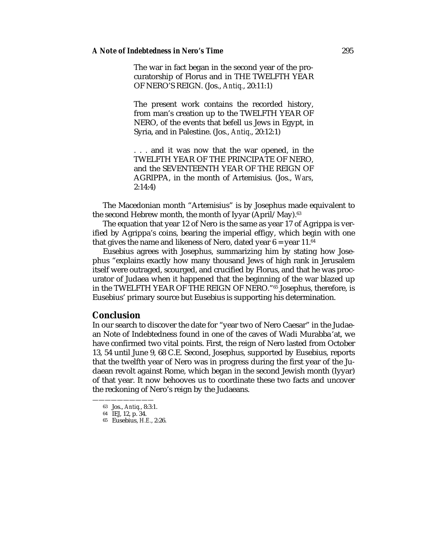The war in fact began in the second year of the procuratorship of Florus and in THE TWELFTH YEAR OF NERO'S REIGN. (Jos., *Antiq.*, 20:11:1)

The present work contains the recorded history, from man's creation up to the TWELFTH YEAR OF NERO, of the events that befell us Jews in Egypt, in Syria, and in Palestine. (Jos., *Antiq*., 20:12:1)

. . . and it was now that the war opened, in the TWELFTH YEAR OF THE PRINCIPATE OF NERO, and the SEVENTEENTH YEAR OF THE REIGN OF AGRIPPA, in the month of Artemisius. (Jos., *Wars*, 2:14:4)

The Macedonian month "Artemisius" is by Josephus made equivalent to the second Hebrew month, the month of Iyyar (April/May).<sup>63</sup>

The equation that year 12 of Nero is the same as year 17 of Agrippa is verified by Agrippa's coins, bearing the imperial effigy, which begin with one that gives the name and likeness of Nero, dated year  $6 = \text{year } 11.^{64}$ 

Eusebius agrees with Josephus, summarizing him by stating how Josephus "explains exactly how many thousand Jews of high rank in Jerusalem itself were outraged, scourged, and crucified by Florus, and that he was procurator of Judaea when it happened that the beginning of the war blazed up in the TWELFTH YEAR OF THE REIGN OF NERO."65 Josephus, therefore, is Eusebius' primary source but Eusebius is supporting his determination.

### **Conclusion**

In our search to discover the date for "year two of Nero Caesar" in the Judaean Note of Indebtedness found in one of the caves of Wadi Murabba' at, we have confirmed two vital points. First, the reign of Nero lasted from October 13, 54 until June 9, 68 C.E. Second, Josephus, supported by Eusebius, reports that the twelfth year of Nero was in progress during the first year of the Judaean revolt against Rome, which began in the second Jewish month (Iyyar) of that year. It now behooves us to coordinate these two facts and uncover the reckoning of Nero's reign by the Judaeans.

<sup>——————————</sup> 63 Jos., *Antiq.*, 8:3:1.

<sup>64</sup> IEJ, 12, p. 34.

<sup>65</sup> Eusebius, *H.E.*, 2:26.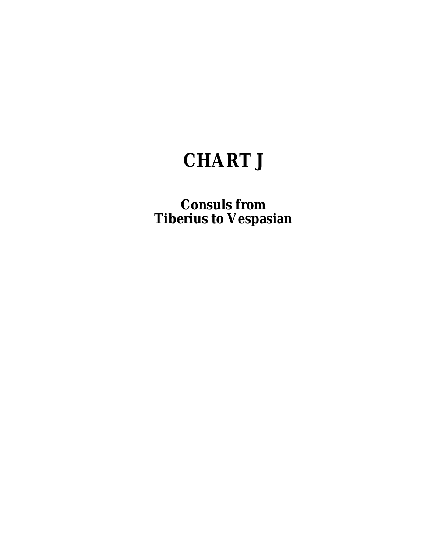# **CHART J**

**Consuls from Tiberius to Vespasian**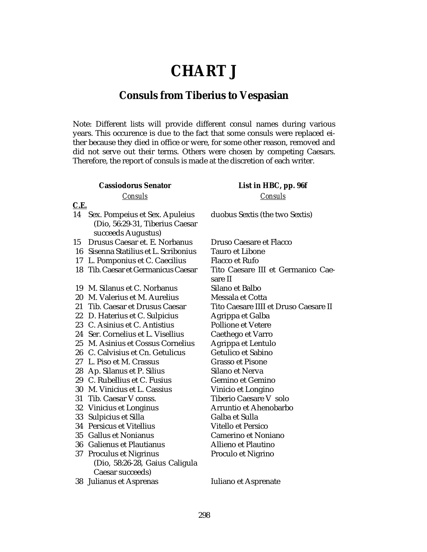# **CHART J**

# **Consuls from Tiberius to Vespasian**

Note: Different lists will provide different consul names during various years. This occurence is due to the fact that some consuls were replaced either because they died in office or were, for some other reason, removed and did not serve out their terms. Others were chosen by competing Caesars. Therefore, the report of consuls is made at the discretion of each writer.

## **Cassiodorus Senator** *Consuls*

#### **C.E.**

- 14 Sex. Pompeius et Sex. Apuleius (Dio, 56:29-31, Tiberius Caesar succeeds Augustus)
- 15 Drusus Caesar et. E. Norbanus
- 16 Sisenna Statilius et L. Scribonius
- 17 L. Pomponius et C. Caecilius
- 18 Tib. Caesar et Germanicus Caesar
- 19 M. Silanus et C. Norbanus
- 20 M. Valerius et M. Aurelius
- 21 Tib. Caesar et Drusus Caesar
- 22 D. Haterius et C. Sulpicius
- 23 C. Asinius et C. Antistius
- 24 Ser. Cornelius et L. Visellius
- 25 M. Asinius et Cossus Cornelius
- 26 C. Calvisius et Cn. Getulicus
- 27 L. Piso et M. Crassus
- 28 Ap. Silanus et P. Silius
- 29 C. Rubellius et C. Fusius
- 30 M. Vinicius et L. Cassius
- 31 Tib. Caesar V conss.
- 32 Vinicius et Longinus
- 33 Sulpicius et Silla
- 34 Persicus et Vitellius
- 35 Gallus et Nonianus
- 36 Galienus et Plautianus 37 Proculus et Nigrinus
- (Dio, 58:26-28, Gaius Caligula Caesar succeeds)
- 38 Julianus et Asprenas

## **List in HBC, pp. 96f** *Consuls*

duobus Sextis (the two Sextis)

Druso Caesare et Flacco Tauro et Libone Flacco et Rufo Tito Caesare III et Germanico Caesare II Silano et Balbo Messala et Cotta Tito Caesare IIII et Druso Caesare II Agrippa et Galba Pollione et Vetere Caethego et Varro Agrippa et Lentulo Getulico et Sabino Grasso et Pisone Silano et Nerva Gemino et Gemino Vinicio et Longino Tiberio Caesare V solo Arruntio et Ahenobarbo Galba et Sulla Vitello et Persico Camerino et Noniano Allieno et Plautino Proculo et Nigrino

Iuliano et Asprenate